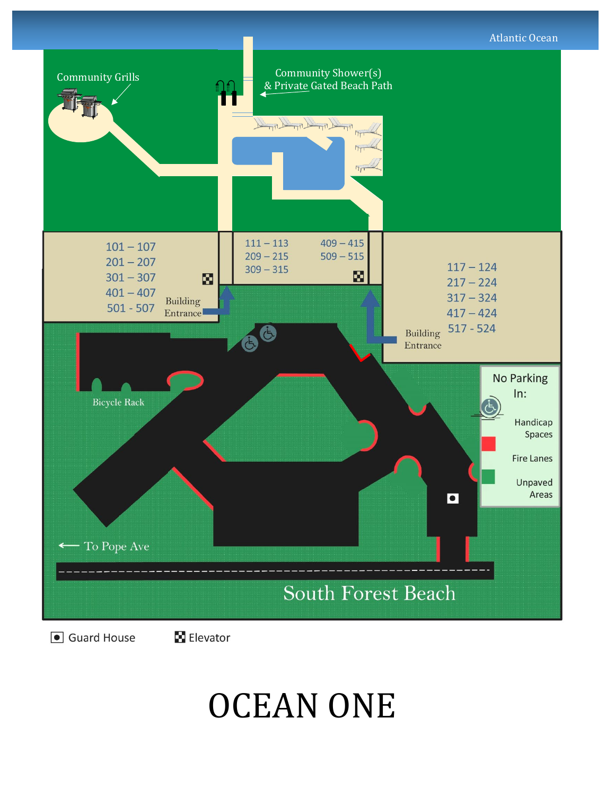



## OCEAN ONE